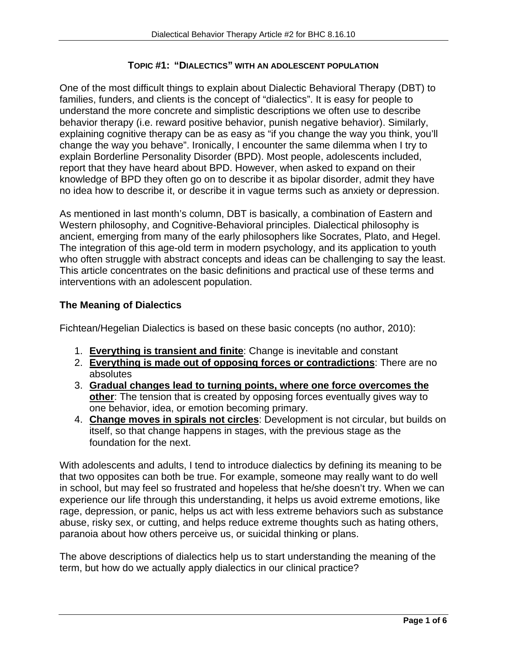#### **TOPIC #1: "DIALECTICS" WITH AN ADOLESCENT POPULATION**

One of the most difficult things to explain about Dialectic Behavioral Therapy (DBT) to families, funders, and clients is the concept of "dialectics". It is easy for people to understand the more concrete and simplistic descriptions we often use to describe behavior therapy (i.e. reward positive behavior, punish negative behavior). Similarly, explaining cognitive therapy can be as easy as "if you change the way you think, you'll change the way you behave". Ironically, I encounter the same dilemma when I try to explain Borderline Personality Disorder (BPD). Most people, adolescents included, report that they have heard about BPD. However, when asked to expand on their knowledge of BPD they often go on to describe it as bipolar disorder, admit they have no idea how to describe it, or describe it in vague terms such as anxiety or depression.

As mentioned in last month's column, DBT is basically, a combination of Eastern and Western philosophy, and Cognitive-Behavioral principles. Dialectical philosophy is ancient, emerging from many of the early philosophers like Socrates, Plato, and Hegel. The integration of this age-old term in modern psychology, and its application to youth who often struggle with abstract concepts and ideas can be challenging to say the least. This article concentrates on the basic definitions and practical use of these terms and interventions with an adolescent population.

# **The Meaning of Dialectics**

Fichtean/Hegelian Dialectics is based on these basic concepts (no author, 2010):

- 1. **Everything is transient and finite**: Change is inevitable and constant
- 2. **Everything is made out of opposing forces or contradictions**: There are no absolutes
- 3. **Gradual changes lead to turning points, where one force overcomes the other**: The tension that is created by opposing forces eventually gives way to one behavior, idea, or emotion becoming primary.
- 4. **Change moves in spirals not circles**: Development is not circular, but builds on itself, so that change happens in stages, with the previous stage as the foundation for the next.

With adolescents and adults, I tend to introduce dialectics by defining its meaning to be that two opposites can both be true. For example, someone may really want to do well in school, but may feel so frustrated and hopeless that he/she doesn't try. When we can experience our life through this understanding, it helps us avoid extreme emotions, like rage, depression, or panic, helps us act with less extreme behaviors such as substance abuse, risky sex, or cutting, and helps reduce extreme thoughts such as hating others, paranoia about how others perceive us, or suicidal thinking or plans.

The above descriptions of dialectics help us to start understanding the meaning of the term, but how do we actually apply dialectics in our clinical practice?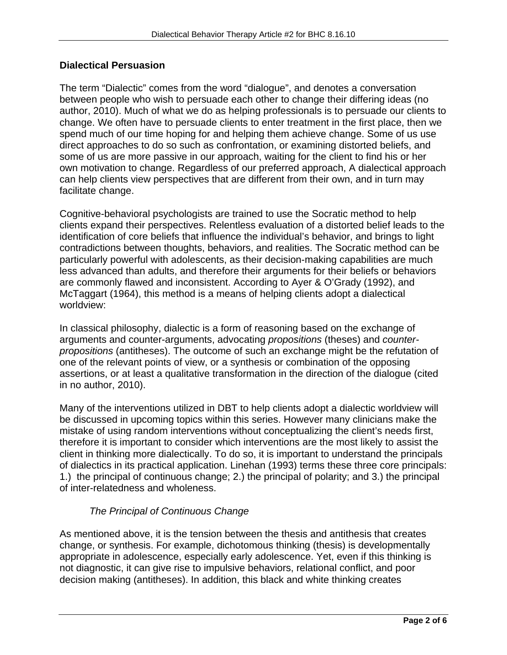# **Dialectical Persuasion**

The term "Dialectic" comes from the word "dialogue", and denotes a conversation between people who wish to persuade each other to change their differing ideas (no author, 2010). Much of what we do as helping professionals is to persuade our clients to change. We often have to persuade clients to enter treatment in the first place, then we spend much of our time hoping for and helping them achieve change. Some of us use direct approaches to do so such as confrontation, or examining distorted beliefs, and some of us are more passive in our approach, waiting for the client to find his or her own motivation to change. Regardless of our preferred approach, A dialectical approach can help clients view perspectives that are different from their own, and in turn may facilitate change.

Cognitive-behavioral psychologists are trained to use the Socratic method to help clients expand their perspectives. Relentless evaluation of a distorted belief leads to the identification of core beliefs that influence the individual's behavior, and brings to light contradictions between thoughts, behaviors, and realities. The Socratic method can be particularly powerful with adolescents, as their decision-making capabilities are much less advanced than adults, and therefore their arguments for their beliefs or behaviors are commonly flawed and inconsistent. According to Ayer & O'Grady (1992), and McTaggart (1964), this method is a means of helping clients adopt a dialectical worldview:

In classical philosophy, dialectic is a form of reasoning based on the exchange of arguments and counter-arguments, advocating *propositions* (theses) and *counterpropositions* (antitheses). The outcome of such an exchange might be the refutation of one of the relevant points of view, or a synthesis or combination of the opposing assertions, or at least a qualitative transformation in the direction of the dialogue (cited in no author, 2010).

Many of the interventions utilized in DBT to help clients adopt a dialectic worldview will be discussed in upcoming topics within this series. However many clinicians make the mistake of using random interventions without conceptualizing the client's needs first, therefore it is important to consider which interventions are the most likely to assist the client in thinking more dialectically. To do so, it is important to understand the principals of dialectics in its practical application. Linehan (1993) terms these three core principals: 1.) the principal of continuous change; 2.) the principal of polarity; and 3.) the principal of inter-relatedness and wholeness.

# *The Principal of Continuous Change*

As mentioned above, it is the tension between the thesis and antithesis that creates change, or synthesis. For example, dichotomous thinking (thesis) is developmentally appropriate in adolescence, especially early adolescence. Yet, even if this thinking is not diagnostic, it can give rise to impulsive behaviors, relational conflict, and poor decision making (antitheses). In addition, this black and white thinking creates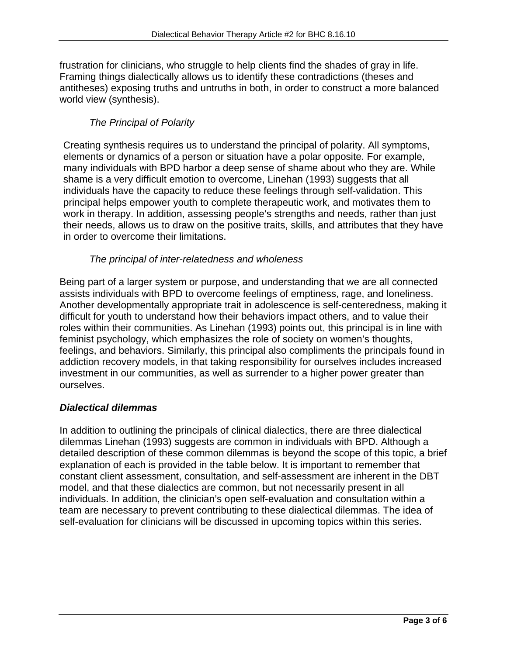frustration for clinicians, who struggle to help clients find the shades of gray in life. Framing things dialectically allows us to identify these contradictions (theses and antitheses) exposing truths and untruths in both, in order to construct a more balanced world view (synthesis).

# *The Principal of Polarity*

Creating synthesis requires us to understand the principal of polarity. All symptoms, elements or dynamics of a person or situation have a polar opposite. For example, many individuals with BPD harbor a deep sense of shame about who they are. While shame is a very difficult emotion to overcome, Linehan (1993) suggests that all individuals have the capacity to reduce these feelings through self-validation. This principal helps empower youth to complete therapeutic work, and motivates them to work in therapy. In addition, assessing people's strengths and needs, rather than just their needs, allows us to draw on the positive traits, skills, and attributes that they have in order to overcome their limitations.

#### *The principal of inter-relatedness and wholeness*

Being part of a larger system or purpose, and understanding that we are all connected assists individuals with BPD to overcome feelings of emptiness, rage, and loneliness. Another developmentally appropriate trait in adolescence is self-centeredness, making it difficult for youth to understand how their behaviors impact others, and to value their roles within their communities. As Linehan (1993) points out, this principal is in line with feminist psychology, which emphasizes the role of society on women's thoughts, feelings, and behaviors. Similarly, this principal also compliments the principals found in addiction recovery models, in that taking responsibility for ourselves includes increased investment in our communities, as well as surrender to a higher power greater than ourselves.

# *Dialectical dilemmas*

In addition to outlining the principals of clinical dialectics, there are three dialectical dilemmas Linehan (1993) suggests are common in individuals with BPD. Although a detailed description of these common dilemmas is beyond the scope of this topic, a brief explanation of each is provided in the table below. It is important to remember that constant client assessment, consultation, and self-assessment are inherent in the DBT model, and that these dialectics are common, but not necessarily present in all individuals. In addition, the clinician's open self-evaluation and consultation within a team are necessary to prevent contributing to these dialectical dilemmas. The idea of self-evaluation for clinicians will be discussed in upcoming topics within this series.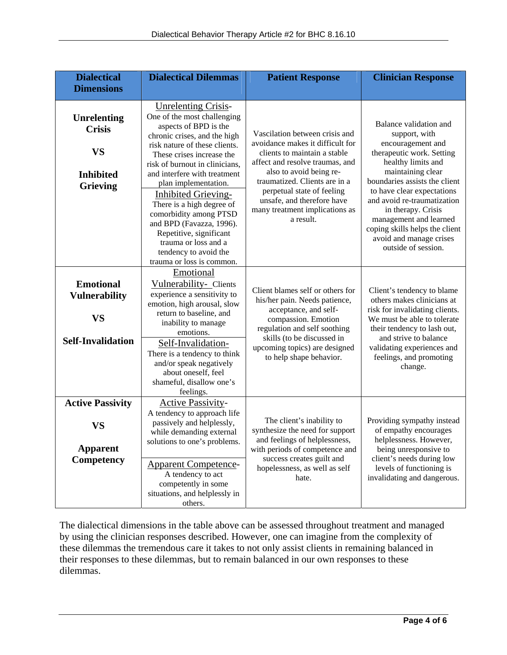| <b>Dialectical</b>                                                                      | <b>Dialectical Dilemmas</b>                                                                                                                                                                                                                                                                                                                                                                                                                                                                          | <b>Patient Response</b>                                                                                                                                                                                                                                                                                      | <b>Clinician Response</b>                                                                                                                                                                                                                                                                                                                                              |
|-----------------------------------------------------------------------------------------|------------------------------------------------------------------------------------------------------------------------------------------------------------------------------------------------------------------------------------------------------------------------------------------------------------------------------------------------------------------------------------------------------------------------------------------------------------------------------------------------------|--------------------------------------------------------------------------------------------------------------------------------------------------------------------------------------------------------------------------------------------------------------------------------------------------------------|------------------------------------------------------------------------------------------------------------------------------------------------------------------------------------------------------------------------------------------------------------------------------------------------------------------------------------------------------------------------|
| <b>Dimensions</b>                                                                       |                                                                                                                                                                                                                                                                                                                                                                                                                                                                                                      |                                                                                                                                                                                                                                                                                                              |                                                                                                                                                                                                                                                                                                                                                                        |
| <b>Unrelenting</b><br><b>Crisis</b><br><b>VS</b><br><b>Inhibited</b><br><b>Grieving</b> | <b>Unrelenting Crisis-</b><br>One of the most challenging<br>aspects of BPD is the<br>chronic crises, and the high<br>risk nature of these clients.<br>These crises increase the<br>risk of burnout in clinicians,<br>and interfere with treatment<br>plan implementation.<br><b>Inhibited Grieving-</b><br>There is a high degree of<br>comorbidity among PTSD<br>and BPD (Favazza, 1996).<br>Repetitive, significant<br>trauma or loss and a<br>tendency to avoid the<br>trauma or loss is common. | Vascilation between crisis and<br>avoidance makes it difficult for<br>clients to maintain a stable<br>affect and resolve traumas, and<br>also to avoid being re-<br>traumatized. Clients are in a<br>perpetual state of feeling<br>unsafe, and therefore have<br>many treatment implications as<br>a result. | Balance validation and<br>support, with<br>encouragement and<br>therapeutic work. Setting<br>healthy limits and<br>maintaining clear<br>boundaries assists the client<br>to have clear expectations<br>and avoid re-traumatization<br>in therapy. Crisis<br>management and learned<br>coping skills helps the client<br>avoid and manage crises<br>outside of session. |
| <b>Emotional</b><br><b>Vulnerability</b><br><b>VS</b><br><b>Self-Invalidation</b>       | Emotional<br>Vulnerability- Clients<br>experience a sensitivity to<br>emotion, high arousal, slow<br>return to baseline, and<br>inability to manage<br>emotions.<br>Self-Invalidation-<br>There is a tendency to think<br>and/or speak negatively<br>about oneself, feel<br>shameful, disallow one's<br>feelings.                                                                                                                                                                                    | Client blames self or others for<br>his/her pain. Needs patience,<br>acceptance, and self-<br>compassion. Emotion<br>regulation and self soothing<br>skills (to be discussed in<br>upcoming topics) are designed<br>to help shape behavior.                                                                  | Client's tendency to blame<br>others makes clinicians at<br>risk for invalidating clients.<br>We must be able to tolerate<br>their tendency to lash out,<br>and strive to balance<br>validating experiences and<br>feelings, and promoting<br>change.                                                                                                                  |
| <b>Active Passivity</b><br>VS<br><b>Apparent</b><br>Competency                          | <b>Active Passivity-</b><br>A tendency to approach life<br>passively and helplessly,<br>while demanding external<br>solutions to one's problems.<br><b>Apparent Competence-</b><br>A tendency to act<br>competently in some<br>situations, and helplessly in<br>others.                                                                                                                                                                                                                              | The client's inability to<br>synthesize the need for support<br>and feelings of helplessness,<br>with periods of competence and<br>success creates guilt and<br>hopelessness, as well as self<br>hate.                                                                                                       | Providing sympathy instead<br>of empathy encourages<br>helplessness. However,<br>being unresponsive to<br>client's needs during low<br>levels of functioning is<br>invalidating and dangerous.                                                                                                                                                                         |

The dialectical dimensions in the table above can be assessed throughout treatment and managed by using the clinician responses described. However, one can imagine from the complexity of these dilemmas the tremendous care it takes to not only assist clients in remaining balanced in their responses to these dilemmas, but to remain balanced in our own responses to these dilemmas.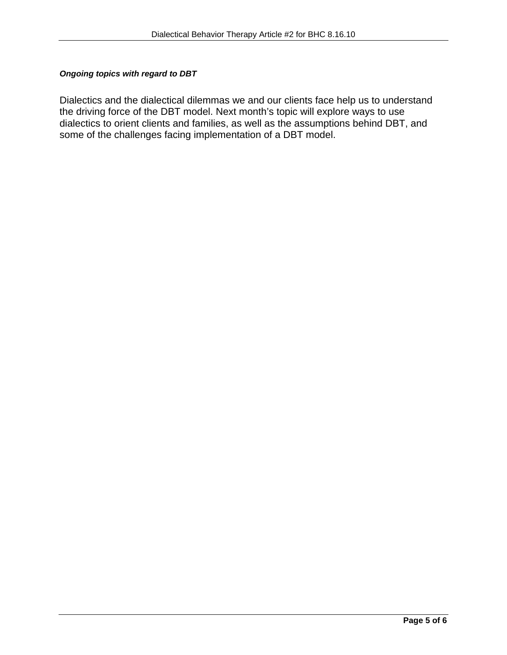#### *Ongoing topics with regard to DBT*

Dialectics and the dialectical dilemmas we and our clients face help us to understand the driving force of the DBT model. Next month's topic will explore ways to use dialectics to orient clients and families, as well as the assumptions behind DBT, and some of the challenges facing implementation of a DBT model.